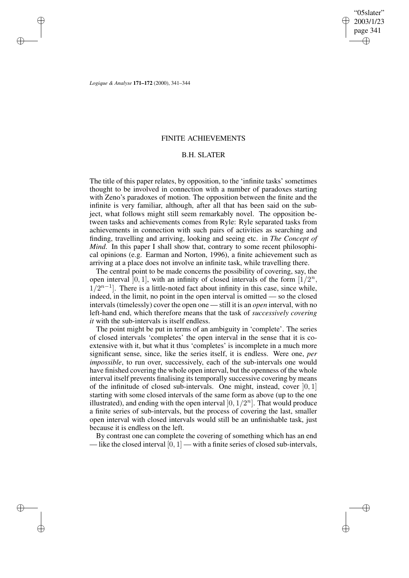✐

✐

*Logique & Analyse* **171–172** (2000), 341–344

✐

✐

✐

✐

### FINITE ACHIEVEMENTS

## B.H. SLATER

The title of this paper relates, by opposition, to the 'infinite tasks' sometimes thought to be involved in connection with a number of paradoxes starting with Zeno's paradoxes of motion. The opposition between the finite and the infinite is very familiar, although, after all that has been said on the subject, what follows might still seem remarkably novel. The opposition between tasks and achievements comes from Ryle: Ryle separated tasks from achievements in connection with such pairs of activities as searching and finding, travelling and arriving, looking and seeing etc. in *The Concept of Mind*. In this paper I shall show that, contrary to some recent philosophical opinions (e.g. Earman and Norton, 1996), a finite achievement such as arriving at a place does not involve an infinite task, while travelling there.

The central point to be made concerns the possibility of covering, say, the open interval [0, 1], with an infinity of closed intervals of the form  $[1/2^n$ ,  $1/2^{n-1}$ . There is a little-noted fact about infinity in this case, since while, indeed, in the limit, no point in the open interval is omitted — so the closed intervals (timelessly) cover the open one — still it is an *open* interval, with no left-hand end, which therefore means that the task of *successively covering it* with the sub-intervals is itself endless.

The point might be put in terms of an ambiguity in 'complete'. The series of closed intervals 'completes' the open interval in the sense that it is coextensive with it, but what it thus 'completes' is incomplete in a much more significant sense, since, like the series itself, it is endless. Were one, *per impossible*, to run over, successively, each of the sub-intervals one would have finished covering the whole open interval, but the openness of the whole interval itself prevents finalising its temporally successive covering by means of the infinitude of closed sub-intervals. One might, instead, cover  $[0, 1]$ starting with some closed intervals of the same form as above (up to the one illustrated), and ending with the open interval  $[0, 1/2^n]$ . That would produce a finite series of sub-intervals, but the process of covering the last, smaller open interval with closed intervals would still be an unfinishable task, just because it is endless on the left.

By contrast one can complete the covering of something which has an end — like the closed interval  $[0, 1]$  — with a finite series of closed sub-intervals,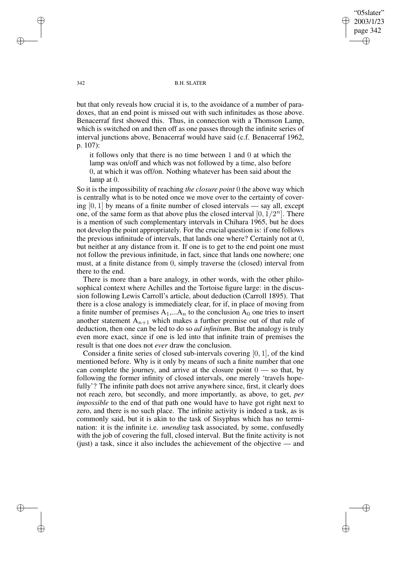"05slater" 2003/1/23 page 342 ✐ ✐

✐

✐

#### 342 B.H. SLATER

but that only reveals how crucial it is, to the avoidance of a number of paradoxes, that an end point is missed out with such infinitudes as those above. Benacerraf first showed this. Thus, in connection with a Thomson Lamp, which is switched on and then off as one passes through the infinite series of interval junctions above, Benacerraf would have said (c.f. Benacerraf 1962, p. 107):

it follows only that there is no time between 1 and 0 at which the lamp was on/off and which was not followed by a time, also before 0, at which it was off/on. Nothing whatever has been said about the lamp at 0.

So it is the impossibility of reaching *the closure point* 0 the above way which is centrally what is to be noted once we move over to the certainty of covering  $[0, 1]$  by means of a finite number of closed intervals — say all, except one, of the same form as that above plus the closed interval  $[0, 1/2^n]$ . There is a mention of such complementary intervals in Chihara 1965, but he does not develop the point appropriately. For the crucial question is: if one follows the previous infinitude of intervals, that lands one where? Certainly not at 0, but neither at any distance from it. If one is to get to the end point one must not follow the previous infinitude, in fact, since that lands one nowhere; one must, at a finite distance from 0, simply traverse the (closed) interval from there to the end.

There is more than a bare analogy, in other words, with the other philosophical context where Achilles and the Tortoise figure large: in the discussion following Lewis Carroll's article, about deduction (Carroll 1895). That there is a close analogy is immediately clear, for if, in place of moving from a finite number of premises  $A_1,...A_n$  to the conclusion  $A_0$  one tries to insert another statement  $A_{n+1}$  which makes a further premise out of that rule of deduction, then one can be led to do so *ad infinitum*. But the analogy is truly even more exact, since if one is led into that infinite train of premises the result is that one does not *ever* draw the conclusion.

Consider a finite series of closed sub-intervals covering [0, 1], of the kind mentioned before. Why is it only by means of such a finite number that one can complete the journey, and arrive at the closure point  $0 -$  so that, by following the former infinity of closed intervals, one merely 'travels hopefully'? The infinite path does not arrive anywhere since, first, it clearly does not reach zero, but secondly, and more importantly, as above, to get, *per impossible* to the end of that path one would have to have got right next to zero, and there is no such place. The infinite activity is indeed a task, as is commonly said, but it is akin to the task of Sisyphus which has no termination: it is the infinite i.e. *unending* task associated, by some, confusedly with the job of covering the full, closed interval. But the finite activity is not (just) a task, since it also includes the achievement of the objective — and

✐

✐

✐

✐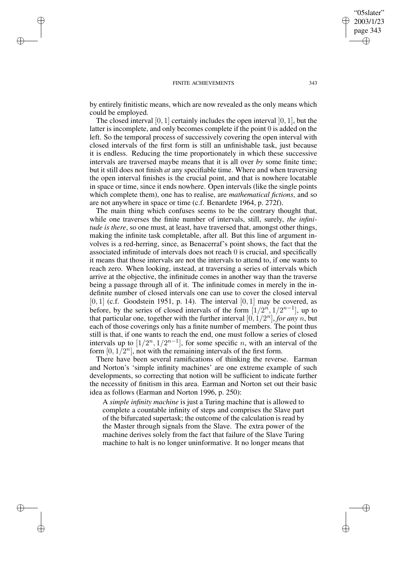#### FINITE ACHIEVEMENTS 343

✐

✐

✐

✐

by entirely finitistic means, which are now revealed as the only means which could be employed.

The closed interval  $[0, 1]$  certainly includes the open interval  $[0, 1]$ , but the latter is incomplete, and only becomes complete if the point 0 is added on the left. So the temporal process of successively covering the open interval with closed intervals of the first form is still an unfinishable task, just because it is endless. Reducing the time proportionately in which these successive intervals are traversed maybe means that it is all over *by* some finite time; but it still does not finish *at* any specifiable time. Where and when traversing the open interval finishes is the crucial point, and that is nowhere locatable in space or time, since it ends nowhere. Open intervals (like the single points which complete them), one has to realise, are *mathematical fictions*, and so are not anywhere in space or time (c.f. Benardete 1964, p. 272f).

The main thing which confuses seems to be the contrary thought that, while one traverses the finite number of intervals, still, surely, *the infinitude is there*, so one must, at least, have traversed that, amongst other things, making the infinite task completable, after all. But this line of argument involves is a red-herring, since, as Benacerraf's point shows, the fact that the associated infinitude of intervals does not reach 0 is crucial, and specifically it means that those intervals are not the intervals to attend to, if one wants to reach zero. When looking, instead, at traversing a series of intervals which arrive at the objective, the infinitude comes in another way than the traverse being a passage through all of it. The infinitude comes in merely in the indefinite number of closed intervals one can use to cover the closed interval  $[0, 1]$  (c.f. Goodstein 1951, p. 14). The interval  $[0, 1]$  may be covered, as before, by the series of closed intervals of the form  $[1/2^n, 1/2^{n-1}]$ , up to that particular one, together with the further interval  $[0, 1/2^n]$ , *for any n*, but each of those coverings only has a finite number of members. The point thus still is that, if one wants to reach the end, one must follow a series of closed intervals up to  $[1/2^n, 1/2^{n-1}]$ , for some specific *n*, with an interval of the form  $[0, 1/2^n]$ , not with the remaining intervals of the first form.

There have been several ramifications of thinking the reverse. Earman and Norton's 'simple infinity machines' are one extreme example of such developments, so correcting that notion will be sufficient to indicate further the necessity of finitism in this area. Earman and Norton set out their basic idea as follows (Earman and Norton 1996, p. 250):

A *simple infinity machine* is just a Turing machine that is allowed to complete a countable infinity of steps and comprises the Slave part of the bifurcated supertask; the outcome of the calculation is read by the Master through signals from the Slave. The extra power of the machine derives solely from the fact that failure of the Slave Turing machine to halt is no longer uninformative. It no longer means that

"05slater" 2003/1/23 page 343

✐

✐

✐

✐